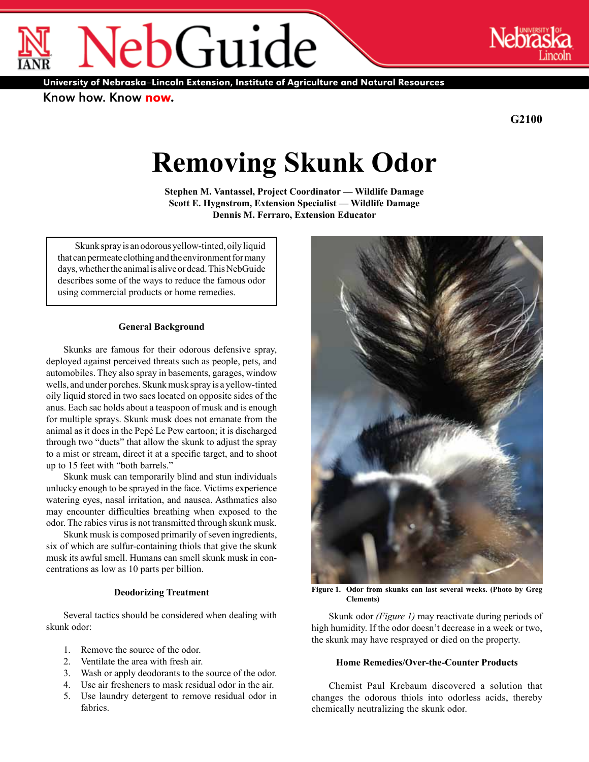University of Nebraska–Lincoln Extension, Institute of Agriculture and Natural Resources

ebGuide

Know how. Know now.

®

**G2100**

®

# **Removing Skunk Odor**

**Stephen M. Vantassel, Project Coordinator — Wildlife Damage Scott E. Hygnstrom, Extension Specialist — Wildlife Damage Dennis M. Ferraro, Extension Educator**

Skunk spray is an odorous yellow-tinted, oily liquid that can permeate clothing and the environment for many days, whether the animal is alive or dead. This NebGuide describes some of the ways to reduce the famous odor using commercial products or home remedies.

### **General Background**

Skunks are famous for their odorous defensive spray, deployed against perceived threats such as people, pets, and automobiles. They also spray in basements, garages, window wells, and under porches. Skunk musk spray is a yellow-tinted oily liquid stored in two sacs located on opposite sides of the anus. Each sac holds about a teaspoon of musk and is enough for multiple sprays. Skunk musk does not emanate from the animal as it does in the Pepé Le Pew cartoon; it is discharged through two "ducts" that allow the skunk to adjust the spray to a mist or stream, direct it at a specific target, and to shoot up to 15 feet with "both barrels."

Skunk musk can temporarily blind and stun individuals unlucky enough to be sprayed in the face. Victims experience watering eyes, nasal irritation, and nausea. Asthmatics also may encounter difficulties breathing when exposed to the odor. The rabies virus is not transmitted through skunk musk.

Skunk musk is composed primarily of seven ingredients, six of which are sulfur-containing thiols that give the skunk musk its awful smell. Humans can smell skunk musk in concentrations as low as 10 parts per billion.

# **Deodorizing Treatment**

Several tactics should be considered when dealing with skunk odor:

- 1. Remove the source of the odor.
- 2. Ventilate the area with fresh air.
- 3. Wash or apply deodorants to the source of the odor.
- 4. Use air fresheners to mask residual odor in the air.
- 5. Use laundry detergent to remove residual odor in fabrics.



**Figure 1. Odor from skunks can last several weeks. (Photo by Greg Clements)**

Skunk odor *(Figure 1)* may reactivate during periods of high humidity. If the odor doesn't decrease in a week or two, the skunk may have resprayed or died on the property.

# **Home Remedies/Over-the-Counter Products**

Chemist Paul Krebaum discovered a solution that changes the odorous thiols into odorless acids, thereby chemically neutralizing the skunk odor.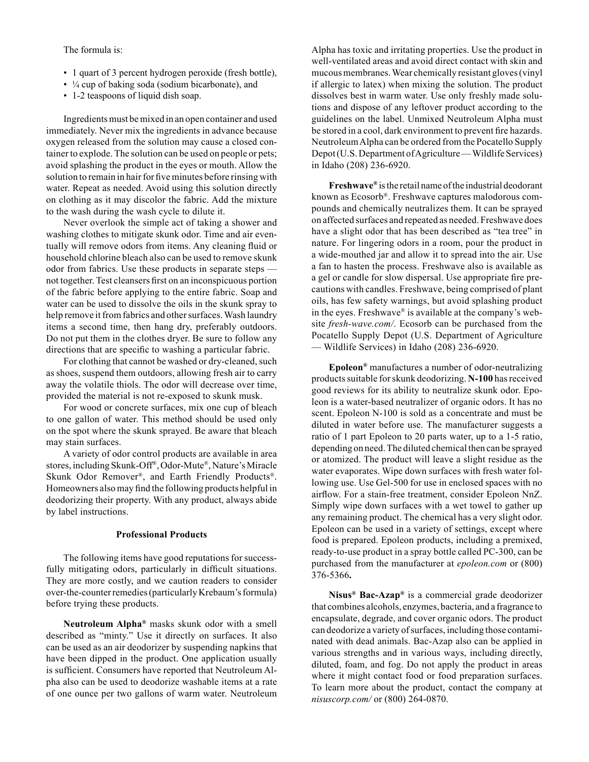The formula is:

- 1 quart of 3 percent hydrogen peroxide (fresh bottle),
- ¼ cup of baking soda (sodium bicarbonate), and
- 1-2 teaspoons of liquid dish soap.

Ingredients must be mixed in an open container and used immediately. Never mix the ingredients in advance because oxygen released from the solution may cause a closed container to explode. The solution can be used on people or pets; avoid splashing the product in the eyes or mouth. Allow the solution to remain in hair for five minutes before rinsing with water. Repeat as needed. Avoid using this solution directly on clothing as it may discolor the fabric. Add the mixture to the wash during the wash cycle to dilute it.

Never overlook the simple act of taking a shower and washing clothes to mitigate skunk odor. Time and air eventually will remove odors from items. Any cleaning fluid or household chlorine bleach also can be used to remove skunk odor from fabrics. Use these products in separate steps not together. Test cleansers first on an inconspicuous portion of the fabric before applying to the entire fabric. Soap and water can be used to dissolve the oils in the skunk spray to help remove it from fabrics and other surfaces. Wash laundry items a second time, then hang dry, preferably outdoors. Do not put them in the clothes dryer. Be sure to follow any directions that are specific to washing a particular fabric.

For clothing that cannot be washed or dry-cleaned, such as shoes, suspend them outdoors, allowing fresh air to carry away the volatile thiols. The odor will decrease over time, provided the material is not re-exposed to skunk musk.

For wood or concrete surfaces, mix one cup of bleach to one gallon of water. This method should be used only on the spot where the skunk sprayed. Be aware that bleach may stain surfaces.

A variety of odor control products are available in area stores, including Skunk-Off®, Odor-Mute®, Nature's Miracle Skunk Odor Remover®, and Earth Friendly Products®. Homeowners also may find the following products helpful in deodorizing their property. With any product, always abide by label instructions.

# **Professional Products**

The following items have good reputations for successfully mitigating odors, particularly in difficult situations. They are more costly, and we caution readers to consider over-the-counter remedies (particularly Krebaum's formula) before trying these products.

**Neutroleum Alpha®** masks skunk odor with a smell described as "minty." Use it directly on surfaces. It also can be used as an air deodorizer by suspending napkins that have been dipped in the product. One application usually is sufficient. Consumers have reported that Neutroleum Alpha also can be used to deodorize washable items at a rate of one ounce per two gallons of warm water. Neutroleum Alpha has toxic and irritating properties. Use the product in well-ventilated areas and avoid direct contact with skin and mucous membranes. Wear chemically resistant gloves (vinyl if allergic to latex) when mixing the solution. The product dissolves best in warm water. Use only freshly made solutions and dispose of any leftover product according to the guidelines on the label. Unmixed Neutroleum Alpha must be stored in a cool, dark environment to prevent fire hazards. Neutroleum Alpha can be ordered from the Pocatello Supply Depot (U.S. Department of Agriculture — Wildlife Services) in Idaho (208) 236-6920.

**Freshwave®** is the retail name of the industrial deodorant known as Ecosorb®. Freshwave captures malodorous compounds and chemically neutralizes them. It can be sprayed on affected surfaces and repeated as needed. Freshwave does have a slight odor that has been described as "tea tree" in nature. For lingering odors in a room, pour the product in a wide-mouthed jar and allow it to spread into the air. Use a fan to hasten the process. Freshwave also is available as a gel or candle for slow dispersal. Use appropriate fire precautions with candles. Freshwave, being comprised of plant oils, has few safety warnings, but avoid splashing product in the eyes. Freshwave® is available at the company's website *fresh-wave.com/*. Ecosorb can be purchased from the Pocatello Supply Depot (U.S. Department of Agriculture — Wildlife Services) in Idaho (208) 236-6920.

**Epoleon®** manufactures a number of odor-neutralizing products suitable for skunk deodorizing. **N-100** has received good reviews for its ability to neutralize skunk odor. Epoleon is a water-based neutralizer of organic odors. It has no scent. Epoleon N-100 is sold as a concentrate and must be diluted in water before use. The manufacturer suggests a ratio of 1 part Epoleon to 20 parts water, up to a 1-5 ratio, depending on need. The diluted chemical then can be sprayed or atomized. The product will leave a slight residue as the water evaporates. Wipe down surfaces with fresh water following use. Use Gel-500 for use in enclosed spaces with no airflow. For a stain-free treatment, consider Epoleon NnZ. Simply wipe down surfaces with a wet towel to gather up any remaining product. The chemical has a very slight odor. Epoleon can be used in a variety of settings, except where food is prepared. Epoleon products, including a premixed, ready-to-use product in a spray bottle called PC-300, can be purchased from the manufacturer at *epoleon.com* or (800) 376-5366**.**

**Nisus® Bac-Azap®** is a commercial grade deodorizer that combines alcohols, enzymes, bacteria, and a fragrance to encapsulate, degrade, and cover organic odors. The product can deodorize a variety of surfaces, including those contaminated with dead animals. Bac-Azap also can be applied in various strengths and in various ways, including directly, diluted, foam, and fog. Do not apply the product in areas where it might contact food or food preparation surfaces. To learn more about the product, contact the company at *nisuscorp.com/* or (800) 264-0870.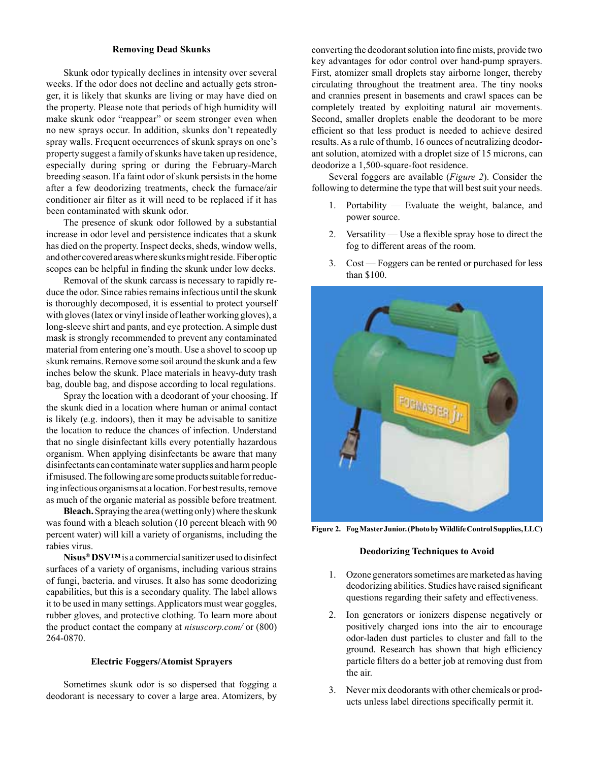#### **Removing Dead Skunks**

Skunk odor typically declines in intensity over several weeks. If the odor does not decline and actually gets stronger, it is likely that skunks are living or may have died on the property. Please note that periods of high humidity will make skunk odor "reappear" or seem stronger even when no new sprays occur. In addition, skunks don't repeatedly spray walls. Frequent occurrences of skunk sprays on one's property suggest a family of skunks have taken up residence, especially during spring or during the February-March breeding season. If a faint odor of skunk persists in the home after a few deodorizing treatments, check the furnace/air conditioner air filter as it will need to be replaced if it has been contaminated with skunk odor.

The presence of skunk odor followed by a substantial increase in odor level and persistence indicates that a skunk has died on the property. Inspect decks, sheds, window wells, and other covered areas where skunks might reside. Fiber optic scopes can be helpful in finding the skunk under low decks.

Removal of the skunk carcass is necessary to rapidly reduce the odor. Since rabies remains infectious until the skunk is thoroughly decomposed, it is essential to protect yourself with gloves (latex or vinyl inside of leather working gloves), a long-sleeve shirt and pants, and eye protection. A simple dust mask is strongly recommended to prevent any contaminated material from entering one's mouth. Use a shovel to scoop up skunk remains. Remove some soil around the skunk and a few inches below the skunk. Place materials in heavy-duty trash bag, double bag, and dispose according to local regulations.

Spray the location with a deodorant of your choosing. If the skunk died in a location where human or animal contact is likely (e.g. indoors), then it may be advisable to sanitize the location to reduce the chances of infection. Understand that no single disinfectant kills every potentially hazardous organism. When applying disinfectants be aware that many disinfectants can contaminate water supplies and harm people if misused. The following are some products suitable for reducing infectious organisms at a location. For best results, remove as much of the organic material as possible before treatment.

**Bleach.** Spraying the area (wetting only) where the skunk was found with a bleach solution (10 percent bleach with 90 percent water) will kill a variety of organisms, including the rabies virus.

**Nisus® DSV™** is a commercial sanitizer used to disinfect surfaces of a variety of organisms, including various strains of fungi, bacteria, and viruses. It also has some deodorizing capabilities, but this is a secondary quality. The label allows it to be used in many settings. Applicators must wear goggles, rubber gloves, and protective clothing. To learn more about the product contact the company at *nisuscorp.com/* or (800) 264-0870.

#### **Electric Foggers/Atomist Sprayers**

Sometimes skunk odor is so dispersed that fogging a deodorant is necessary to cover a large area. Atomizers, by

converting the deodorant solution into fine mists, provide two key advantages for odor control over hand-pump sprayers. First, atomizer small droplets stay airborne longer, thereby circulating throughout the treatment area. The tiny nooks and crannies present in basements and crawl spaces can be completely treated by exploiting natural air movements. Second, smaller droplets enable the deodorant to be more efficient so that less product is needed to achieve desired results. As a rule of thumb, 16 ounces of neutralizing deodorant solution, atomized with a droplet size of 15 microns, can deodorize a 1,500-square-foot residence.

Several foggers are available (*Figure 2*). Consider the following to determine the type that will best suit your needs.

- 1. Portability Evaluate the weight, balance, and power source.
- 2. Versatility Use a flexible spray hose to direct the fog to different areas of the room.
- 3. Cost Foggers can be rented or purchased for less than \$100.



**Figure 2. Fog Master Junior. (Photo by Wildlife Control Supplies, LLC)** 

#### **Deodorizing Techniques to Avoid**

- 1. Ozone generators sometimes are marketed as having deodorizing abilities. Studies have raised significant questions regarding their safety and effectiveness.
- 2. Ion generators or ionizers dispense negatively or positively charged ions into the air to encourage odor-laden dust particles to cluster and fall to the ground. Research has shown that high efficiency particle filters do a better job at removing dust from the air.
- 3. Never mix deodorants with other chemicals or products unless label directions specifically permit it.